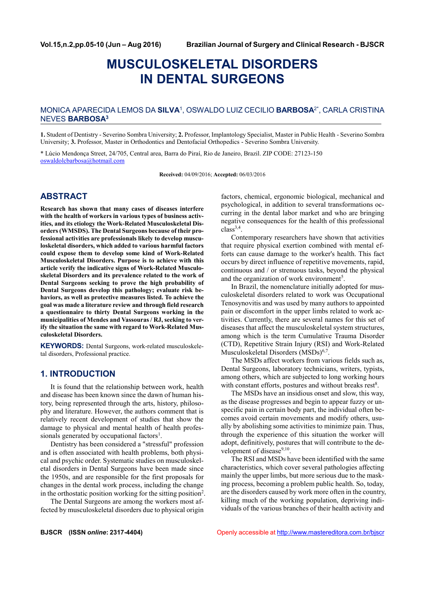# **MUSCULOSKELETAL DISORDERS IN DENTAL SURGEONS**

### MONICA APARECIDA LEMOS DA **SILVA**<sup>1</sup> , OSWALDO LUIZ CECILIO **BARBOSA**2\*, CARLA CRISTINA NEVES **BARBOSA<sup>3</sup>**

**1.** Student of Dentistry - Severino Sombra University; **2.** Professor, Implantology Specialist, Master in Public Health - Severino Sombra University; **3.** Professor, Master in Orthodontics and Dentofacial Orthopedics - Severino Sombra University.

\* Lúcio Mendonça Street, 24/705, Central area, Barra do Piraí, Rio de Janeiro, Brazil. ZIP CODE: 27123-150 oswaldolcbarbosa@hotmail.com

**Received:** 04/09/2016; **Accepted:** 06/03/2016

## **ABSTRACT**

**Research has shown that many cases of diseases interfere with the health of workers in various types of business activities, and its etiology the Work-Related Musculoskeletal Disorders (WMSDS). The Dental Surgeons because of their professional activities are professionals likely to develop musculoskeletal disorders, which added to various harmful factors could expose them to develop some kind of Work-Related Musculoskeletal Disorders. Purpose is to achieve with this article verify the indicative signs of Work-Related Musculoskeletal Disorders and its prevalence related to the work of Dental Surgeons seeking to prove the high probability of Dental Surgeons develop this pathology; evaluate risk behaviors, as well as protective measures listed. To achieve the goal was made a literature review and through field research a questionnaire to thirty Dental Surgeons working in the municipalities of Mendes and Vassouras / RJ, seeking to verify the situation the same with regard to Work-Related Musculoskeletal Disorders.**

**KEYWORDS:** Dental Surgeons, work-related musculoskeletal disorders, Professional practice.

## **1. INTRODUCTION**

It is found that the relationship between work, health and disease has been known since the dawn of human history, being represented through the arts, history, philosophy and literature. However, the authors comment that is relatively recent development of studies that show the damage to physical and mental health of health professionals generated by occupational factors<sup>1</sup>.

Dentistry has been considered a "stressful" profession and is often associated with health problems, both physical and psychic order. Systematic studies on musculoskeletal disorders in Dental Surgeons have been made since the 1950s, and are responsible for the first proposals for changes in the dental work process, including the change in the orthostatic position working for the sitting position<sup>2</sup> .

The Dental Surgeons are among the workers most affected by musculoskeletal disorders due to physical origin factors, chemical, ergonomic biological, mechanical and psychological, in addition to several transformations occurring in the dental labor market and who are bringing negative consequences for the health of this professional  $class^{3,4}$ .

Contemporary researchers have shown that activities that require physical exertion combined with mental efforts can cause damage to the worker's health. This fact occurs by direct influence of repetitive movements, rapid, continuous and / or strenuous tasks, beyond the physical and the organization of work environment<sup>5</sup>.

In Brazil, the nomenclature initially adopted for musculoskeletal disorders related to work was Occupational Tenosynovitis and was used by many authors to appointed pain or discomfort in the upper limbs related to work activities. Currently, there are several names for this set of diseases that affect the musculoskeletal system structures, among which is the term Cumulative Trauma Disorder (CTD), Repetitive Strain Injury (RSI) and Work-Related Musculoskeletal Disorders (MSDs)<sup>6,7</sup>.

The MSDs affect workers from various fields such as, Dental Surgeons, laboratory technicians, writers, typists, among others, which are subjected to long working hours with constant efforts, postures and without breaks rest<sup>8</sup>.

The MSDs have an insidious onset and slow, this way, as the disease progresses and begin to appear fuzzy or unspecific pain in certain body part, the individual often becomes avoid certain movements and modify others, usually by abolishing some activities to minimize pain. Thus, through the experience of this situation the worker will adopt, definitively, postures that will contribute to the development of disease<sup>9,10</sup>.

The RSI and MSDs have been identified with the same characteristics, which cover several pathologies affecting mainly the upper limbs, but more serious due to the masking process, becoming a problem public health. So, today, are the disorders caused by work more often in the country, killing much of the working population, depriving individuals of the various branches of their health activity and

**BJSCR (ISSN** *online***: 2317-4404)** Openly accessible at http://www.mastereditora.com.br/bjscr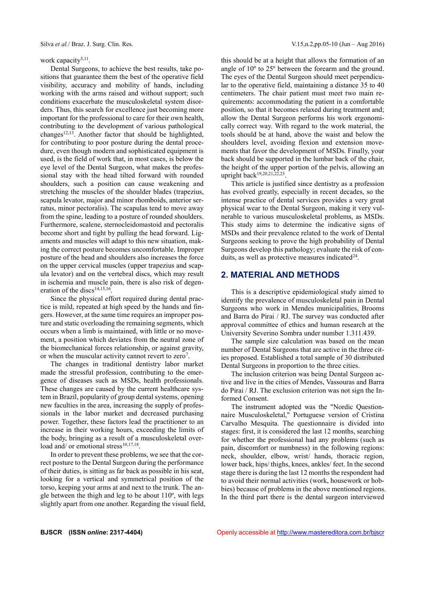#### work capacity<sup>5,11</sup>.

Dental Surgeons, to achieve the best results, take positions that guarantee them the best of the operative field visibility, accuracy and mobility of hands, including working with the arms raised and without support; such conditions exacerbate the musculoskeletal system disorders. Thus, this search for excellence just becoming more important for the professional to care for their own health, contributing to the development of various pathological changes<sup>12,13</sup>. Another factor that should be highlighted, for contributing to poor posture during the dental procedure, even though modern and sophisticated equipment is used, is the field of work that, in most cases, is below the eye level of the Dental Surgeon, what makes the professional stay with the head tilted forward with rounded shoulders, such a position can cause weakening and stretching the muscles of the shoulder blades (trapezius, scapula levator, major and minor rhomboids, anterior serratus, minor pectoralis). The scapulas tend to move away from the spine, leading to a posture of rounded shoulders. Furthermore, scalene, sternocleidomastoid and pectoralis become short and tight by pulling the head forward. Ligaments and muscles will adapt to this new situation, making the correct posture becomes uncomfortable. Improper posture of the head and shoulders also increases the force on the upper cervical muscles (upper trapezius and scapula levator) and on the vertebral discs, which may result in ischemia and muscle pain, there is also risk of degeneration of the discs<sup>14,15,16</sup> .

Since the physical effort required during dental practice is mild, repeated at high speed by the hands and fingers. However, at the same time requires an improper posture and static overloading the remaining segments, which occurs when a limb is maintained, with little or no movement, a position which deviates from the neutral zone of the biomechanical forces relationship, or against gravity, or when the muscular activity cannot revert to zero<sup>7</sup>.

The changes in traditional dentistry labor market made the stressful profession, contributing to the emergence of diseases such as MSDs, health professionals. These changes are caused by the current healthcare system in Brazil, popularity of group dental systems, opening new faculties in the area, increasing the supply of professionals in the labor market and decreased purchasing power. Together, these factors lead the practitioner to an increase in their working hours, exceeding the limits of the body, bringing as a result of a musculoskeletal overload and/ or emotional stress<sup>10,17,18</sup>.

In order to prevent these problems, we see that the correct posture to the Dental Surgeon during the performance of their duties, is sitting as far back as possible in his seat, looking for a vertical and symmetrical position of the torso, keeping your arms at and next to the trunk. The angle between the thigh and leg to be about 110º, with legs slightly apart from one another. Regarding the visual field, this should be at a height that allows the formation of an angle of 10º to 25º between the forearm and the ground. The eyes of the Dental Surgeon should meet perpendicular to the operative field, maintaining a distance 35 to 40 centimeters. The chair patient must meet two main requirements: accommodating the patient in a comfortable position, so that it becomes relaxed during treatment and; allow the Dental Surgeon performs his work ergonomically correct way. With regard to the work material, the tools should be at hand, above the waist and below the shoulders level, avoiding flexion and extension movements that favor the development of MSDs. Finally, your back should be supported in the lumbar back of the chair, the height of the upper portion of the pelvis, allowing an upright back<sup>19,20,21,22,23</sup>.

This article is justified since dentistry as a profession has evolved greatly, especially in recent decades, so the intense practice of dental services provides a very great physical wear to the Dental Surgeon, making it very vulnerable to various musculoskeletal problems, as MSDs. This study aims to determine the indicative signs of MSDs and their prevalence related to the work of Dental Surgeons seeking to prove the high probability of Dental Surgeons develop this pathology; evaluate the risk of conduits, as well as protective measures indicated $24$ .

# **2. MATERIAL AND METHODS**

This is a descriptive epidemiological study aimed to identify the prevalence of musculoskeletal pain in Dental Surgeons who work in Mendes municipalities, Brooms and Barra do Pirai / RJ. The survey was conducted after approval committee of ethics and human research at the University Severino Sombra under number 1.311.439.

The sample size calculation was based on the mean number of Dental Surgeons that are active in the three cities proposed. Established a total sample of 30 distributed Dental Surgeons in proportion to the three cities.

The inclusion criterion was being Dental Surgeon active and live in the cities of Mendes, Vassouras and Barra do Pirai / RJ. The exclusion criterion was not sign the Informed Consent.

The instrument adopted was the "Nordic Questionnaire Musculoskeletal," Portuguese version of Cristina Carvalho Mesquita. The questionnaire is divided into stages: first, it is considered the last 12 months, searching for whether the professional had any problems (such as pain, discomfort or numbness) in the following regions: neck, shoulder, elbow, wrist/ hands, thoracic region, lower back, hips/ thighs, knees, ankles/ feet. In the second stage there is during the last 12 months the respondent had to avoid their normal activities (work, housework or hobbies) because of problems in the above mentioned regions. In the third part there is the dental surgeon interviewed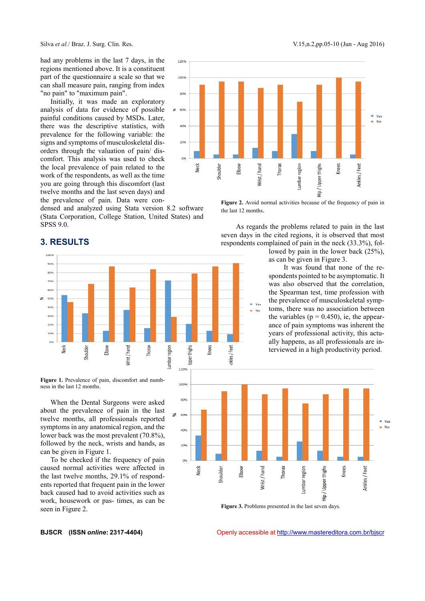had any problems in the last 7 days, in the 120% regions mentioned above. It is a constituent part of the questionnaire a scale so that we can shall measure pain, ranging from index "no pain" to "maximum pain".

Initially, it was made an exploratory analysis of data for evidence of possible \* 60% painful conditions caused by MSDs. Later, there was the descriptive statistics, with prevalence for the following variable: the signs and symptoms of musculoskeletal disorders through the valuation of pain/ discomfort. This analysis was used to check the local prevalence of pain related to the work of the respondents, as well as the time you are going through this discomfort (last twelve months and the last seven days) and the prevalence of pain. Data were con-

densed and analyzed using Stata version 8.2 software (Stata Corporation, College Station, United States) and SPSS 9.0.



# **3. RESULTS**



Ipper 1209

Figure 1. Prevalence of pain, discomfort and numbness in the last 12 months.

When the Dental Surgeons were asked <sup>80%</sup> about the prevalence of pain in the last twelve months, all professionals reported symptoms in any anatomical region, and the lower back was the most prevalent (70.8%), followed by the neck, wrists and hands, as can be given in Figure 1.

To be checked if the frequency of pain one caused normal activities were affected in the last twelve months, 29.1% of respondents reported that frequent pain in the lower back caused had to avoid activities such as work, housework or pas- times, as can be seen in Figure 2.



**Figure 3.** Problems presented in the last seven days.

**BJSCR (ISSN** *online***: 2317-4404)** Openly accessible at http://www.mastereditora.com.br/bjscr



**Figure 2.** Avoid normal activities because of the frequency of pain in the last 12 months.

As regards the problems related to pain in the last seven days in the cited regions, it is observed that most respondents complained of pain in the neck (33.3%), followed by pain in the lower back (25%),

as can be given in Figure 3.

It was found that none of the respondents pointed to be asymptomatic. It was also observed that the correlation, the Spearman test, time profession with the prevalence of musculoskeletal symptoms, there was no association between the variables ( $p = 0.450$ ), ie, the appearance of pain symptoms was inherent the years of professional activity, this actually happens, as all professionals are interviewed in a high productivity period.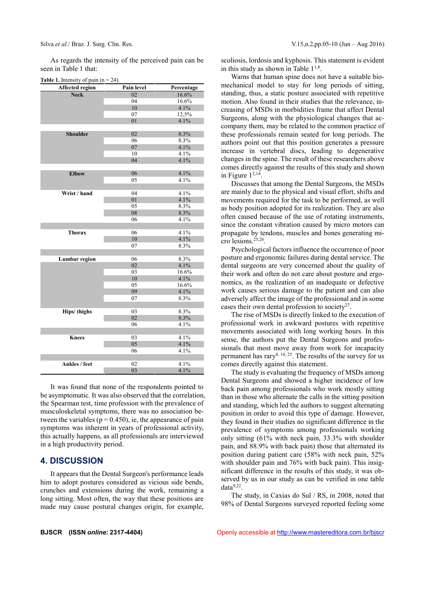As regards the intensity of the perceived pain can be seen in Table 1 that:

| <b>Affected region</b> | Pain level | Percentage |
|------------------------|------------|------------|
| <b>Neck</b>            | 02         | 16.6%      |
|                        | 04         | 16.6%      |
|                        | 10         | 4.1%       |
|                        | 07         | 12,5%      |
|                        | 01         | 4.1%       |
|                        |            |            |
| <b>Shoulder</b>        | 02         | 8.3%       |
|                        | 06         | 8.3%       |
|                        | 07         | 4.1%       |
|                        | 10         | 4.1%       |
|                        | 04         | 4.1%       |
|                        |            |            |
| <b>Elbow</b>           | 06         | 4.1%       |
|                        | 05         | 4.1%       |
|                        |            |            |
| Wrist / hand           | 04         | 4.1%       |
|                        | 01         | 4.1%       |
|                        | 05         | 8.3%       |
|                        | 08         | 8.3%       |
|                        | 06         | 4.1%       |
|                        |            |            |
| <b>Thorax</b>          | 06         | 4.1%       |
|                        | 10         | 4.1%       |
|                        | 07         | 8.3%       |
|                        |            |            |
| <b>Lumbar region</b>   | 06         | 8.3%       |
|                        | 02         | 4.1%       |
|                        | 03         | 16.6%      |
|                        | 10         | 4.1%       |
|                        | 05         | 16.6%      |
|                        | 09         | 4.1%       |
|                        | 07         | 8.3%       |
|                        |            |            |
| Hips/thighs            | 03         | 8.3%       |
|                        | 02         | 8.3%       |
|                        | 06         | 4.1%       |
|                        |            |            |
| <b>Knees</b>           | 03         | 4.1%       |
|                        | 05         | 4.1%       |
|                        | 06         | 4.1%       |
|                        |            |            |
| Ankles / feet          | 02         | 4.1%       |
|                        | 03         | 4.1%       |

It was found that none of the respondents pointed to be asymptomatic. It was also observed that the correlation, the Spearman test, time profession with the prevalence of musculoskeletal symptoms, there was no association between the variables ( $p = 0.450$ ), ie, the appearance of pain symptoms was inherent in years of professional activity, this actually happens, as all professionals are interviewed in a high productivity period.

### **4. DISCUSSION**

It appears that the Dental Surgeon's performance leads him to adopt postures considered as vicious side bends, crunches and extensions during the work, remaining a long sitting. Most often, the way that these positions are made may cause postural changes origin, for example, scoliosis, lordosis and kyphosis. This statement is evident in this study as shown in Table  $1^{1,8}$ .

Warns that human spine does not have a suitable biomechanical model to stay for long periods of sitting, standing, thus, a static posture associated with repetitive motion. Also found in their studies that the relevance, increasing of MSDs in morbidities frame that affect Dental Surgeons, along with the physiological changes that accompany them, may be related to the common practice of these professionals remain seated for long periods. The authors point out that this position generates a pressure increase in vertebral discs, leading to degenerative changes in the spine. The result of these researchers above comes directly against the results of this study and shown in Figure  $1^{2,14}$ .

Discusses that among the Dental Surgeons, the MSDs are mainly due to the physical and visual effort, shifts and movements required for the task to be performed, as well as body position adopted for its realization. They are also often caused because of the use of rotating instruments, since the constant vibration caused by micro motors can propagate by tendons, muscles and bones generating micro lesions.25,26 .

Psychological factors influence the occurrence of poor posture and ergonomic failures during dental service. The dental surgeons are very concerned about the quality of their work and often do not care about posture and ergonomics, as the realization of an inadequate or defective work causes serious damage to the patient and can also adversely affect the image of the professional and in some cases their own dental profession to society $2^7$ .

The rise of MSDs is directly linked to the execution of professional work in awkward postures with repetitive movements associated with long working hours. In this sense, the authors put the Dental Surgeons and professionals that most move away from work for incapacity permanent has rary<sup>4, 14, 25</sup>. The results of the survey for us comes directly against this statement.

The study is evaluating the frequency of MSDs among Dental Surgeons and showed a higher incidence of low back pain among professionals who work mostly sitting than in those who alternate the calls in the sitting position and standing, which led the authors to suggest alternating position in order to avoid this type of damage. However, they found in their studies no significant difference in the prevalence of symptoms among professionals working only sitting (61% with neck pain, 33.3% with shoulder pain, and 88.9% with back pain) those that alternated its position during patient care (58% with neck pain, 52% with shoulder pain and 76% with back pain). This insignificant difference in the results of this study, it was observed by us in our study as can be verified in one table data9,22 .

The study, in Caxias do Sul / RS, in 2008, noted that 98% of Dental Surgeons surveyed reported feeling some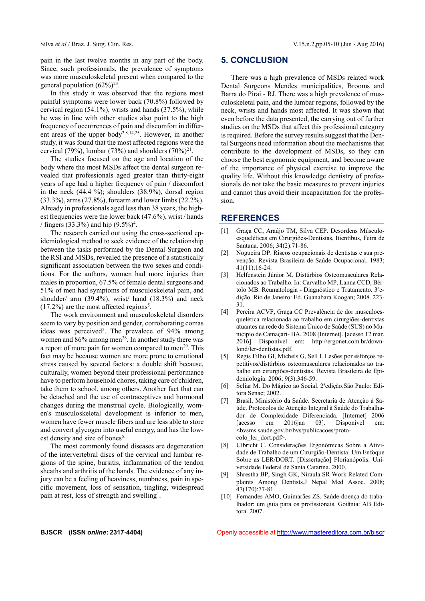pain in the last twelve months in any part of the body. Since, such professionals, the prevalence of symptoms was more musculoskeletal present when compared to the general population  $(62\%)^{23}$ .

In this study it was observed that the regions most painful symptoms were lower back (70.8%) followed by cervical region (54.1%), wrists and hands (37.5%), while he was in line with other studies also point to the high frequency of occurrences of pain and discomfort in different areas of the upper body<sup>2,8,14,25</sup>. However, in another study, it was found that the most affected regions were the cervical (79%), lumbar (73%) and shoulders  $(70\%)^{21}$ .

The studies focused on the age and location of the body where the most MSDs affect the dental surgeon revealed that professionals aged greater than thirty-eight years of age had a higher frequency of pain / discomfort in the neck (44.4 %); shoulders (38.9%), dorsal region (33.3%), arms (27.8%), forearm and lower limbs (22.2%). Already in professionals aged less than 38 years, the highest frequencies were the lower back (47.6%), wrist / hands / fingers (33.3%) and hip  $(9.5\%)^4$ .

The research carried out using the cross-sectional epidemiological method to seek evidence of the relationship between the tasks performed by the Dental Surgeon and [2] the RSI and MSDs, revealed the presence of a statistically significant association between the two sexes and conditions. For the authors, women had more injuries than males in proportion, 67.5% of female dental surgeons and 51% of men had symptoms of musculoskeletal pain, and shoulder/ arm (39.4%), wrist/ hand (18.3%) and neck  $(17.2\%)$  are the most affected regions<sup>5</sup>.

The work environment and musculoskeletal disorders [4] seem to vary by position and gender, corroborating comas ideas was perceived<sup>5</sup>. The prevalece of 94% among women and  $86\%$  among men<sup>28</sup>. In another study there was a report of more pain for women compared to men<sup>29</sup>. This fact may be because women are more prone to emotional stress caused by several factors: a double shift because, culturally, women beyond their professional performance have to perform household chores, taking care of children, take them to school, among others. Another fact that can [6] be detached and the use of contraceptives and hormonal changes during the menstrual cycle. Biologically, women's musculoskeletal development is inferior to men, women have fewer muscle fibers and are less able to store and convert glycogen into useful energy, and has the lowest density and size of bones<sup>5.</sup>

The most commonly found diseases are degeneration [8] of the intervertebral discs of the cervical and lumbar regions of the spine, bursitis, inflammation of the tendon sheaths and arthritis of the hands. The evidence of any injury can be a feeling of heaviness, numbness, pain in specific movement, loss of sensation, tingling, widespread pain at rest, loss of strength and swelling<sup>1</sup>.

## **5. CONCLUSION**

There was a high prevalence of MSDs related work Dental Surgeons Mendes municipalities, Brooms and Barra do Pirai - RJ. There was a high prevalence of musculoskeletal pain, and the lumbar regions, followed by the neck, wrists and hands most affected. It was shown that even before the data presented, the carrying out of further studies on the MSDs that affect this professional category is required. Before the survey results suggest that the Dental Surgeons need information about the mechanisms that contribute to the development of MSDs, so they can choose the best ergonomic equipment, and become aware of the importance of physical exercise to improve the quality life. Without this knowledge dentistry of professionals do not take the basic measures to prevent injuries and cannot thus avoid their incapacitation for the profession.

#### **REFERENCES**

- [1] Graça CC, Araújo TM, Silva CEP. Desordens Músculo esqueléticas em Cirurgiões-Dentistas, Itientibus, Feira de Santana. 2006; 34(2):71-86.
- Nogueira DP. Riscos ocupacionais de dentistas e sua prevenção. Revista Brasileira de Saúde Ocupacional. 1983; 41(11):16-24.
- [3] Helfenstein Júnior M. Distúrbios Osteomusculares Relacionados ao Trabalho. In: Carvalho MP, Lanna CCD, Bértolo MB. Reumatologia **-** Diagnóstico e Tratamento. 3ªedição. Rio de Janeiro: Ed. Guanabara Koogan; 2008. 223- 31.
- Pereira ACVF, Graça CC Prevalência de dor musculoesquelética relacionada ao trabalho em cirurgiões-dentistas atuantes na rede do Sistema Único de Saúde (SUS) no Município de Camaçari- BA. 2008 [Internet]. [acesso 12 mar. 2016] Disponível em: http://ergonet.com.br/downlond/ler-dentistas.pdf.
- [5] Regis Filho GI, Michels G, Sell I. Lesões por esforços repetitivos/distúrbios osteomusculares relacionados ao trabalho em cirurgiões-dentistas. Revista Brasileira de Epidemiologia. 2006; 9(3):346-59.
- [6] Scliar M. Do Mágico ao Social. 2ªedição.São Paulo: Editora Senac; 2002.
- [7] Brasil. Ministério da Saúde. Secretaria de Atenção à Saúde. Protocolos de Atenção Integral à Saúde do Trabalhador de Complexidade Diferenciada. [Internet] 2006 [acesso em 2016jan 03]. Disponível em: <bvsms.saude.gov.br/bvs/publicacoes/protocolo\_ler\_dort.pdf>.
- Ulbricht C. Considerações Ergonômicas Sobre a Atividade de Trabalho de um Cirurgião-Dentista: Um Enfoque Sobre as LER/DORT. [Dissertação] Florianópolis: Universidade Federal de Santa Catarina. 2000.
- [9] Shrestha BP, Singh GK, Niraula SR Work Related Com plaints Among Dentists.J Nepal Med Assoc. 2008; 47(170):77-81.
- [10] Fernandes AMO, Guimarães ZS. Saúde-doença do trabalhador: um guia para os profissionais. Goiânia: AB Editora. 2007.

**BJSCR (ISSN** *online***: 2317-4404)** Openly accessible at http://www.mastereditora.com.br/bjscr